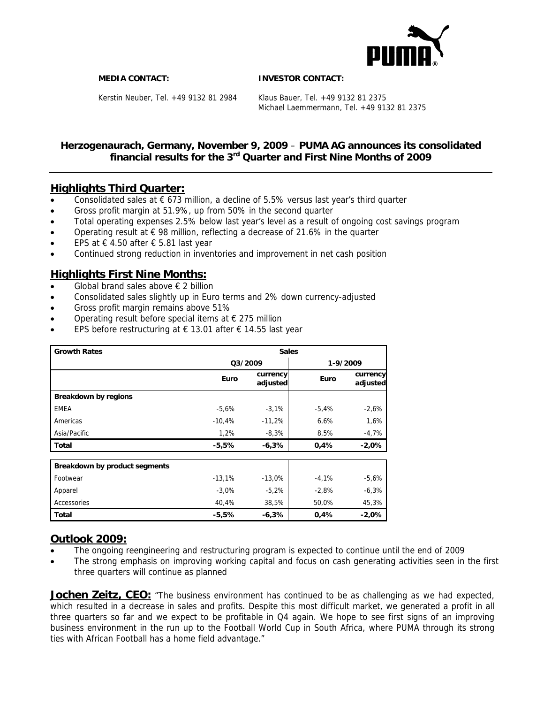

**MEDIA CONTACT: INVESTOR CONTACT:** 

Kerstin Neuber, Tel. +49 9132 81 2984 Klaus Bauer, Tel. +49 9132 81 2375

Michael Laemmermann, Tel. +49 9132 81 2375

## **Herzogenaurach, Germany, November 9, 2009** – **PUMA AG announces its consolidated financial results for the 3rd Quarter and First Nine Months of 2009**

# **Highlights Third Quarter:**

- Consolidated sales at  $\epsilon$  673 million, a decline of 5.5% versus last year's third quarter
- Gross profit margin at 51.9%, up from 50% in the second quarter
- Total operating expenses 2.5% below last year's level as a result of ongoing cost savings program
- Operating result at  $\epsilon$  98 million, reflecting a decrease of 21.6% in the quarter
- EPS at  $€ 4.50$  after  $€ 5.81$  last year
- Continued strong reduction in inventories and improvement in net cash position

# **Highlights First Nine Months:**

- Global brand sales above  $\epsilon$  2 billion
- Consolidated sales slightly up in Euro terms and 2% down currency-adjusted
- Gross profit margin remains above 51%
- Operating result before special items at  $\epsilon$  275 million
- EPS before restructuring at  $\epsilon$  13.01 after  $\epsilon$  14.55 last year

| <b>Growth Rates</b>           | <b>Sales</b> |                      |          |                      |  |
|-------------------------------|--------------|----------------------|----------|----------------------|--|
|                               | 03/2009      |                      | 1-9/2009 |                      |  |
|                               | Euro         | currency<br>adjusted | Euro     | currency<br>adjusted |  |
| Breakdown by regions          |              |                      |          |                      |  |
| <b>EMEA</b>                   | $-5,6%$      | $-3,1%$              | $-5,4%$  | $-2,6%$              |  |
| Americas                      | $-10.4%$     | $-11,2%$             | 6,6%     | 1,6%                 |  |
| Asia/Pacific                  | 1,2%         | $-8,3%$              | 8,5%     | $-4,7%$              |  |
| <b>Total</b>                  | $-5,5%$      | $-6,3%$              | 0,4%     | $-2,0%$              |  |
| Breakdown by product segments |              |                      |          |                      |  |
| Footwear                      | $-13,1%$     | $-13,0%$             | $-4,1%$  | $-5,6%$              |  |
| Apparel                       | $-3,0%$      | $-5,2%$              | $-2,8%$  | $-6,3%$              |  |
| Accessories                   | 40,4%        | 38,5%                | 50,0%    | 45,3%                |  |
| <b>Total</b>                  | $-5,5%$      | $-6,3%$              | 0,4%     | $-2,0%$              |  |

## **Outlook 2009:**

- The ongoing reengineering and restructuring program is expected to continue until the end of 2009
- The strong emphasis on improving working capital and focus on cash generating activities seen in the first three quarters will continue as planned

**Jochen Zeitz, CEO:** "The business environment has continued to be as challenging as we had expected, which resulted in a decrease in sales and profits. Despite this most difficult market, we generated a profit in all three quarters so far and we expect to be profitable in Q4 again. We hope to see first signs of an improving business environment in the run up to the Football World Cup in South Africa, where PUMA through its strong ties with African Football has a home field advantage."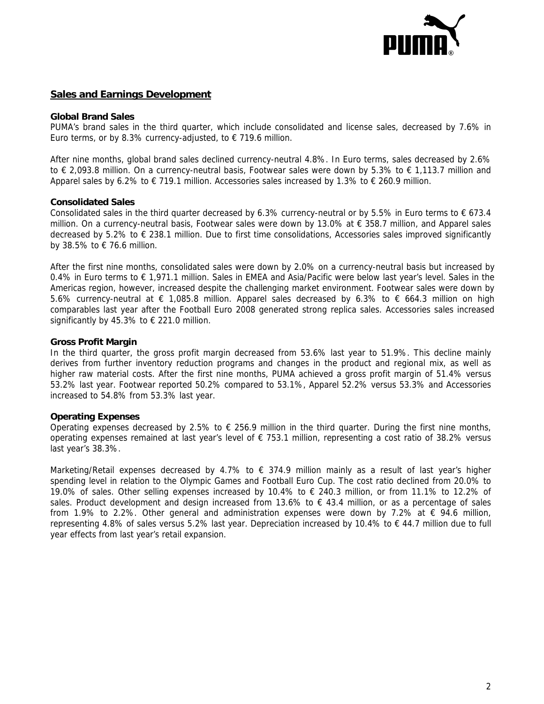

## **Sales and Earnings Development**

#### **Global Brand Sales**

PUMA's brand sales in the third quarter, which include consolidated and license sales, decreased by 7.6% in Euro terms, or by 8.3% currency-adjusted, to  $\epsilon$  719.6 million.

After nine months, global brand sales declined currency-neutral 4.8%. In Euro terms, sales decreased by 2.6% to € 2,093.8 million. On a currency-neutral basis, Footwear sales were down by 5.3% to € 1,113.7 million and Apparel sales by 6.2% to  $\epsilon$  719.1 million. Accessories sales increased by 1.3% to  $\epsilon$  260.9 million.

### **Consolidated Sales**

Consolidated sales in the third quarter decreased by 6.3% currency-neutral or by 5.5% in Euro terms to  $\epsilon$  673.4 million. On a currency-neutral basis, Footwear sales were down by 13.0% at € 358.7 million, and Apparel sales decreased by 5.2% to € 238.1 million. Due to first time consolidations, Accessories sales improved significantly by 38.5% to € 76.6 million.

After the first nine months, consolidated sales were down by 2.0% on a currency-neutral basis but increased by 0.4% in Euro terms to € 1,971.1 million. Sales in EMEA and Asia/Pacific were below last year's level. Sales in the Americas region, however, increased despite the challenging market environment. Footwear sales were down by 5.6% currency-neutral at € 1,085.8 million. Apparel sales decreased by 6.3% to € 664.3 million on high comparables last year after the Football Euro 2008 generated strong replica sales. Accessories sales increased significantly by 45.3% to  $\epsilon$  221.0 million.

### **Gross Profit Margin**

In the third quarter, the gross profit margin decreased from 53.6% last year to 51.9%. This decline mainly derives from further inventory reduction programs and changes in the product and regional mix, as well as higher raw material costs. After the first nine months, PUMA achieved a gross profit margin of 51.4% versus 53.2% last year. Footwear reported 50.2% compared to 53.1%, Apparel 52.2% versus 53.3% and Accessories increased to 54.8% from 53.3% last year.

## **Operating Expenses**

Operating expenses decreased by 2.5% to  $\epsilon$  256.9 million in the third quarter. During the first nine months, operating expenses remained at last year's level of € 753.1 million, representing a cost ratio of 38.2% versus last year's 38.3%.

Marketing/Retail expenses decreased by 4.7% to  $\epsilon$  374.9 million mainly as a result of last year's higher spending level in relation to the Olympic Games and Football Euro Cup. The cost ratio declined from 20.0% to 19.0% of sales. Other selling expenses increased by 10.4% to € 240.3 million, or from 11.1% to 12.2% of sales. Product development and design increased from 13.6% to  $\epsilon$  43.4 million, or as a percentage of sales from 1.9% to 2.2%. Other general and administration expenses were down by 7.2% at € 94.6 million, representing 4.8% of sales versus 5.2% last year. Depreciation increased by 10.4% to € 44.7 million due to full year effects from last year's retail expansion.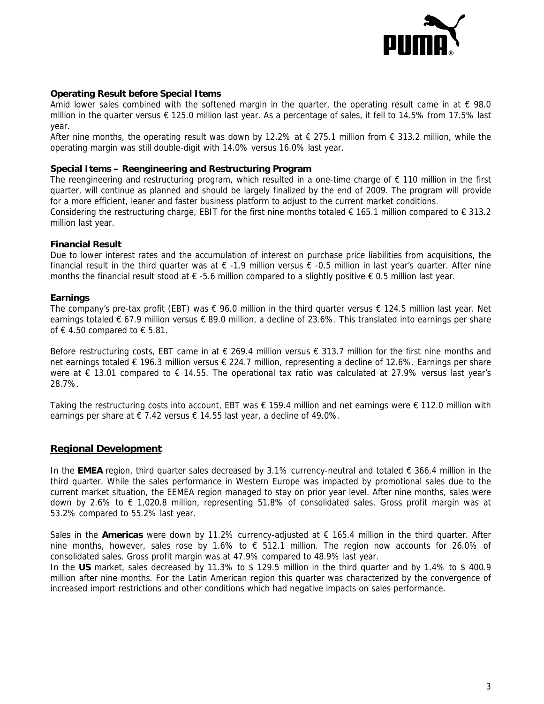

## **Operating Result before Special Items**

Amid lower sales combined with the softened margin in the quarter, the operating result came in at  $\epsilon$  98.0 million in the quarter versus € 125.0 million last year. As a percentage of sales, it fell to 14.5% from 17.5% last year.

After nine months, the operating result was down by 12.2% at  $\epsilon$  275.1 million from  $\epsilon$  313.2 million, while the operating margin was still double-digit with 14.0% versus 16.0% last year.

#### **Special Items – Reengineering and Restructuring Program**

The reengineering and restructuring program, which resulted in a one-time charge of € 110 million in the first quarter, will continue as planned and should be largely finalized by the end of 2009. The program will provide for a more efficient, leaner and faster business platform to adjust to the current market conditions. Considering the restructuring charge, EBIT for the first nine months totaled  $\epsilon$  165.1 million compared to  $\epsilon$  313.2

million last year.

### **Financial Result**

Due to lower interest rates and the accumulation of interest on purchase price liabilities from acquisitions, the financial result in the third quarter was at  $\epsilon$  -1.9 million versus  $\epsilon$  -0.5 million in last year's quarter. After nine months the financial result stood at  $\epsilon$  -5.6 million compared to a slightly positive  $\epsilon$  0.5 million last year.

### **Earnings**

The company's pre-tax profit (EBT) was  $\epsilon$  96.0 million in the third quarter versus  $\epsilon$  124.5 million last year. Net earnings totaled € 67.9 million versus € 89.0 million, a decline of 23.6%. This translated into earnings per share of € 4.50 compared to  $∈$  5.81.

Before restructuring costs, EBT came in at  $\epsilon$  269.4 million versus  $\epsilon$  313.7 million for the first nine months and net earnings totaled € 196.3 million versus € 224.7 million, representing a decline of 12.6%. Earnings per share were at € 13.01 compared to € 14.55. The operational tax ratio was calculated at 27.9% versus last year's 28.7%.

Taking the restructuring costs into account, EBT was € 159.4 million and net earnings were € 112.0 million with earnings per share at  $\epsilon$  7.42 versus  $\epsilon$  14.55 last year, a decline of 49.0%.

#### **Regional Development**

In the **EMEA** region, third quarter sales decreased by 3.1% currency-neutral and totaled € 366.4 million in the third quarter. While the sales performance in Western Europe was impacted by promotional sales due to the current market situation, the EEMEA region managed to stay on prior year level. After nine months, sales were down by 2.6% to € 1,020.8 million, representing 51.8% of consolidated sales. Gross profit margin was at 53.2% compared to 55.2% last year.

Sales in the **Americas** were down by 11.2% currency-adjusted at € 165.4 million in the third quarter. After nine months, however, sales rose by 1.6% to  $\epsilon$  512.1 million. The region now accounts for 26.0% of consolidated sales. Gross profit margin was at 47.9% compared to 48.9% last year.

In the **US** market, sales decreased by 11.3% to \$ 129.5 million in the third quarter and by 1.4% to \$ 400.9 million after nine months. For the Latin American region this quarter was characterized by the convergence of increased import restrictions and other conditions which had negative impacts on sales performance.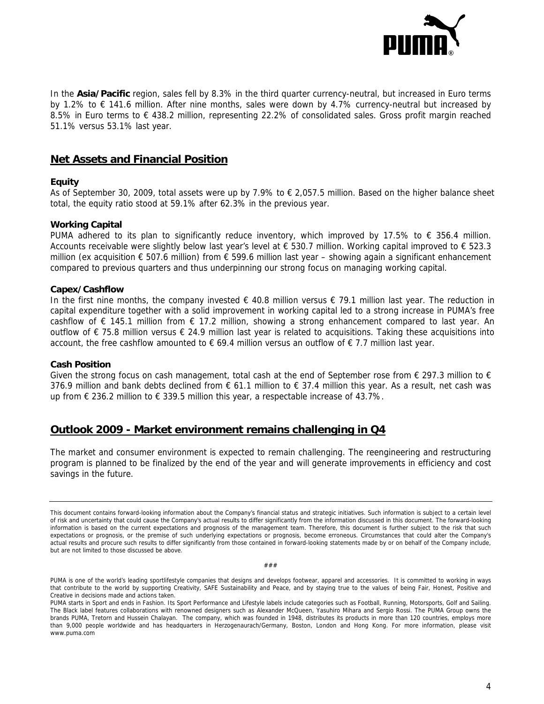

In the **Asia/Pacific** region, sales fell by 8.3% in the third quarter currency-neutral, but increased in Euro terms by 1.2% to € 141.6 million. After nine months, sales were down by 4.7% currency-neutral but increased by 8.5% in Euro terms to € 438.2 million, representing 22.2% of consolidated sales. Gross profit margin reached 51.1% versus 53.1% last year.

## **Net Assets and Financial Position**

### **Equity**

As of September 30, 2009, total assets were up by 7.9% to € 2,057.5 million. Based on the higher balance sheet total, the equity ratio stood at 59.1% after 62.3% in the previous year.

#### **Working Capital**

PUMA adhered to its plan to significantly reduce inventory, which improved by 17.5% to  $\epsilon$  356.4 million. Accounts receivable were slightly below last year's level at  $\epsilon$  530.7 million. Working capital improved to  $\epsilon$  523.3 million (ex acquisition € 507.6 million) from € 599.6 million last year – showing again a significant enhancement compared to previous quarters and thus underpinning our strong focus on managing working capital.

#### **Capex/Cashflow**

In the first nine months, the company invested € 40.8 million versus € 79.1 million last year. The reduction in capital expenditure together with a solid improvement in working capital led to a strong increase in PUMA's free cashflow of  $\epsilon$  145.1 million from  $\epsilon$  17.2 million, showing a strong enhancement compared to last year. An outflow of € 75.8 million versus € 24.9 million last year is related to acquisitions. Taking these acquisitions into account, the free cashflow amounted to  $\epsilon$  69.4 million versus an outflow of  $\epsilon$  7.7 million last year.

#### **Cash Position**

Given the strong focus on cash management, total cash at the end of September rose from  $\epsilon$  297.3 million to  $\epsilon$ 376.9 million and bank debts declined from  $\epsilon$  61.1 million to  $\epsilon$  37.4 million this year. As a result, net cash was up from  $€$  236.2 million to  $€$  339.5 million this year, a respectable increase of 43.7%.

# **Outlook 2009 - Market environment remains challenging in Q4**

The market and consumer environment is expected to remain challenging. The reengineering and restructuring program is planned to be finalized by the end of the year and will generate improvements in efficiency and cost savings in the future.

###

This document contains forward-looking information about the Company's financial status and strategic initiatives. Such information is subject to a certain level of risk and uncertainty that could cause the Company's actual results to differ significantly from the information discussed in this document. The forward-looking information is based on the current expectations and prognosis of the management team. Therefore, this document is further subject to the risk that such expectations or prognosis, or the premise of such underlying expectations or prognosis, become erroneous. Circumstances that could alter the Company's actual results and procure such results to differ significantly from those contained in forward-looking statements made by or on behalf of the Company include, but are not limited to those discussed be above.

PUMA is one of the world's leading sportlifestyle companies that designs and develops footwear, apparel and accessories. It is committed to working in ways that contribute to the world by supporting Creativity, SAFE Sustainability and Peace, and by staying true to the values of being Fair, Honest, Positive and Creative in decisions made and actions taken.

PUMA starts in Sport and ends in Fashion. Its Sport Performance and Lifestyle labels include categories such as Football, Running, Motorsports, Golf and Sailing. The Black label features collaborations with renowned designers such as Alexander McQueen, Yasuhiro Mihara and Sergio Rossi. The PUMA Group owns the brands PUMA, Tretorn and Hussein Chalayan. The company, which was founded in 1948, distributes its products in more than 120 countries, employs more than 9,000 people worldwide and has headquarters in Herzogenaurach/Germany, Boston, London and Hong Kong. For more information, please visit www.puma.com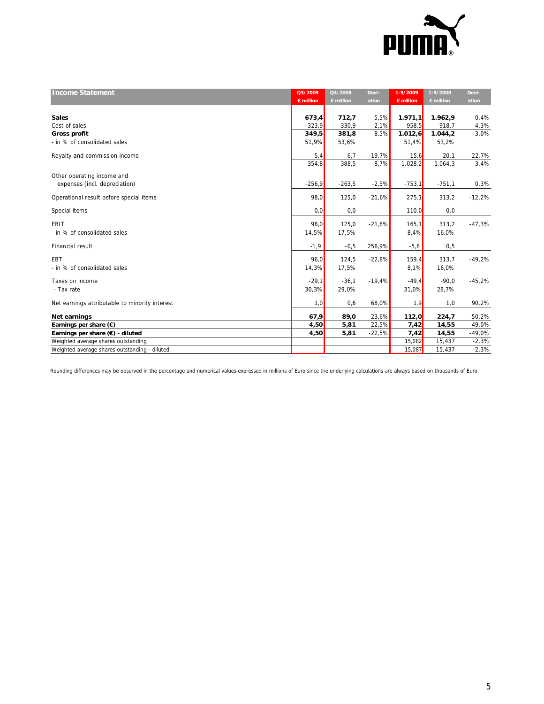

| <b>Income Statement</b>                        | Q3/2009<br>$\epsilon$ million | Q3/2008<br>$\epsilon$ million | Devi-<br>ation | 1-9/2009<br>$\epsilon$ million | 1-9/2008<br>$\epsilon$ million | Devi-<br>ation |
|------------------------------------------------|-------------------------------|-------------------------------|----------------|--------------------------------|--------------------------------|----------------|
|                                                |                               |                               |                |                                |                                |                |
| <b>Sales</b>                                   | 673,4                         | 712,7                         | $-5,5%$        | 1.971, 1                       | 1.962,9                        | 0,4%           |
| Cost of sales                                  | $-323,9$                      | $-330,9$                      | $-2,1%$        | $-958,5$                       | $-918,7$                       | 4,3%           |
| Gross profit                                   | 349,5                         | 381,8                         | $-8,5%$        | 1.012,6                        | 1.044, 2                       | $-3.0%$        |
| - in % of consolidated sales                   | 51,9%                         | 53,6%                         |                | 51,4%                          | 53,2%                          |                |
|                                                |                               |                               |                |                                |                                |                |
| Royalty and commission income                  | 5,4                           | 6,7                           | $-19,7%$       | 15,6                           | 20,1                           | $-22,7%$       |
|                                                | 354,8                         | 388.5                         | $-8,7%$        | 1.028, 2                       | 1.064.3                        | $-3.4%$        |
| Other operating income and                     |                               |                               |                |                                |                                |                |
| expenses (incl. depreciation)                  | $-256,9$                      | $-263,5$                      | $-2,5%$        | $-753,1$                       | $-751,1$                       | 0,3%           |
| Operational result before special items        | 98,0                          | 125,0                         | $-21,6%$       | 275,1                          | 313,2                          | $-12,2%$       |
| Special items                                  | 0,0                           | 0,0                           |                | $-110,0$                       | 0, 0                           |                |
| EBIT                                           | 98,0                          | 125,0                         | $-21,6%$       | 165.1                          | 313,2                          | $-47,3%$       |
| - in % of consolidated sales                   | 14,5%                         | 17,5%                         |                | 8,4%                           | 16,0%                          |                |
|                                                |                               |                               |                |                                |                                |                |
| Financial result                               | $-1,9$                        | $-0,5$                        | 256,9%         | $-5,6$                         | 0, 5                           |                |
| <b>EBT</b>                                     | 96,0                          | 124,5                         | $-22,8%$       | 159,4                          | 313,7                          | $-49,2%$       |
| - in % of consolidated sales                   | 14,3%                         | 17,5%                         |                | 8,1%                           | 16,0%                          |                |
|                                                |                               |                               |                |                                |                                |                |
| Taxes on income                                | $-29,1$                       | $-36,1$                       | $-19,4%$       | $-49,4$                        | $-90,0$                        | $-45,2%$       |
| - Tax rate                                     | 30,3%                         | 29,0%                         |                | 31,0%                          | 28,7%                          |                |
| Net earnings attributable to minority interest | 1,0                           | 0,6                           | 68,0%          | 1,9                            | 1,0                            | 90,2%          |
| Net earnings                                   | 67,9                          | 89,0                          | $-23,6%$       | 112,0                          | 224,7                          | $-50,2%$       |
| Earnings per share $(\epsilon)$                | 4,50                          | 5,81                          | $-22,5%$       | 7,42                           | 14,55                          | $-49,0%$       |
| Earnings per share $(\epsilon)$ - diluted      | 4,50                          | 5,81                          | $-22,5%$       | 7,42                           | 14,55                          | $-49,0%$       |
| Weighted average shares outstanding            |                               |                               |                | 15,082                         | 15,437                         | $-2,3%$        |
| Weighted average shares outstanding - diluted  |                               |                               |                | 15,087                         | 15,437                         | $-2,3%$        |

Rounding differences may be observed in the percentage and numerical values expressed in millions of Euro since the underlying calculations are always based on thousands of Euro.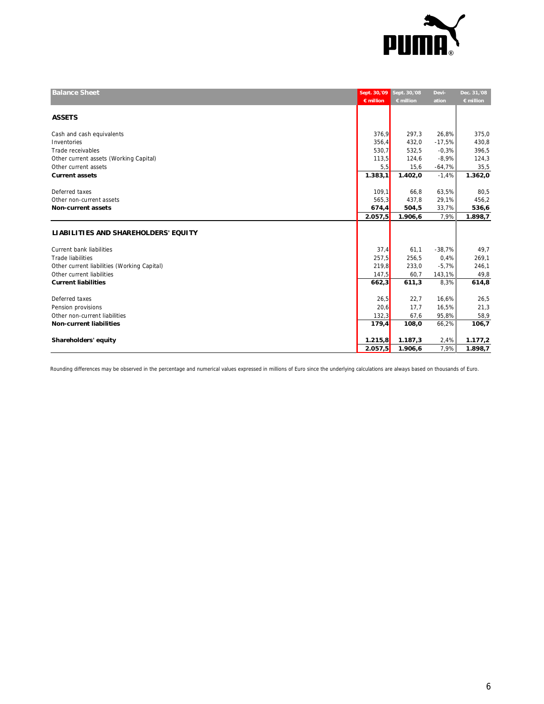

| <b>Balance Sheet</b>                        |                    | Sept. 30,'09 Sept. 30,'08 | Devi-    | Dec. 31,'08        |
|---------------------------------------------|--------------------|---------------------------|----------|--------------------|
|                                             | $\epsilon$ million | $\epsilon$ million        | ation    | $\epsilon$ million |
| <b>ASSETS</b>                               |                    |                           |          |                    |
| Cash and cash equivalents                   | 376,9              | 297,3                     | 26,8%    | 375,0              |
| Inventories                                 | 356,4              | 432,0                     | $-17,5%$ | 430,8              |
| Trade receivables                           | 530,7              | 532,5                     | $-0.3%$  | 396,5              |
| Other current assets (Working Capital)      | 113,5              | 124,6                     | $-8,9%$  | 124,3              |
| Other current assets                        | 5,5                | 15,6                      | $-64,7%$ | 35,5               |
| <b>Current assets</b>                       | 1.383,1            | 1.402,0                   | $-1,4%$  | 1.362,0            |
| Deferred taxes                              | 109,1              | 66,8                      | 63,5%    | 80,5               |
| Other non-current assets                    | 565,3              | 437,8                     | 29,1%    | 456,2              |
| <b>Non-current assets</b>                   | 674,4              | 504,5                     | 33,7%    | 536,6              |
|                                             | 2.057,5            | 1.906,6                   | 7,9%     | 1.898,7            |
|                                             |                    |                           |          |                    |
| LIABILITIES AND SHAREHOLDERS' EQUITY        |                    |                           |          |                    |
| <b>Current bank liabilities</b>             | 37,4               | 61,1                      | $-38,7%$ | 49,7               |
| <b>Trade liabilities</b>                    | 257,5              | 256,5                     | 0.4%     | 269,1              |
| Other current liabilities (Working Capital) | 219,8              | 233,0                     | $-5.7%$  | 246,1              |
| Other current liabilities                   | 147.5              | 60,7                      | 143,1%   | 49,8               |
| <b>Current liabilities</b>                  | 662,3              | 611,3                     | 8,3%     | 614,8              |
| Deferred taxes                              | 26,5               | 22,7                      | 16,6%    | 26,5               |
| Pension provisions                          | 20,6               | 17,7                      | 16,5%    | 21,3               |
| Other non-current liabilities               | 132,3              | 67,6                      | 95,8%    | 58,9               |
| <b>Non-current liabilities</b>              | 179,4              | 108,0                     | 66,2%    | 106,7              |
|                                             |                    |                           |          |                    |
| Shareholders' equity                        | 1.215,8            | 1.187,3                   | 2,4%     | 1.177,2            |
|                                             | 2.057,5            | 1.906,6                   | 7,9%     | 1.898,7            |

Rounding differences may be observed in the percentage and numerical values expressed in millions of Euro since the underlying calculations are always based on thousands of Euro.